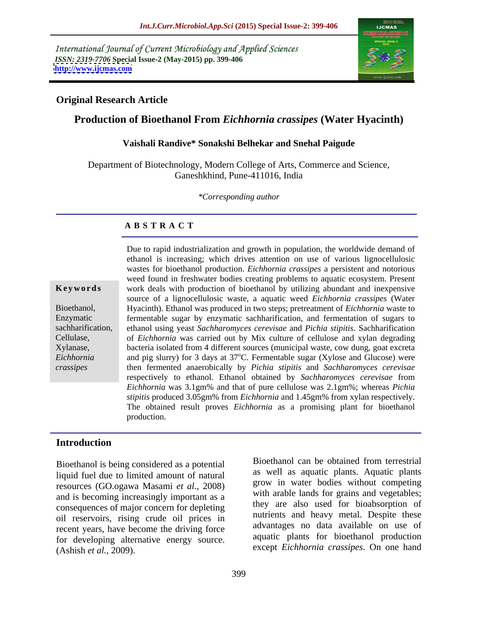International Journal of Current Microbiology and Applied Sciences *ISSN: 2319-7706* **Special Issue-2 (May-2015) pp. 399-406 <http://www.ijcmas.com>**



## **Original Research Article**

## **Production of Bioethanol From** *Eichhornia crassipes* **(Water Hyacinth)**

### **Vaishali Randive\* Sonakshi Belhekar and Snehal Paigude**

Department of Biotechnology, Modern College of Arts, Commerce and Science, Ganeshkhind, Pune-411016, India

*\*Corresponding author*

## **A B S T R A C T**

*crassipes*

Due to rapid industrialization and growth in population, the worldwide demand of ethanol is increasing; which drives attention on use of various lignocellulosic wastes for bioethanol production. *Eichhornia crassipes* a persistent and notorious weed found in freshwater bodies creating problems to aquatic ecosystem. Present **Keywords** work deals with production of bioethanol by utilizing abundant and inexpensive source of a lignocellulosic waste, a aquatic weed *Eichhornia crassipes* (Water Hyacinth). Ethanol was produced in two steps; pretreatment of *Eichhornia* waste to Bioethanol, Enzymatic **Example 1** fermentable sugar by enzymatic sachharification, and fermentation of sugars to sachharification, ethanol using yeast Sachharomyces cerevisae and Pichia stipitis. Sachharification of *Eichhornia* was carried out by Mix culture of cellulose and xylan degrading Cellulase, bacteria isolated from 4 different sources (municipal waste, cow dung, goat excreta Xylanase, Eichhornia and pig slurry) for 3 days at 37<sup>o</sup>C. Fermentable sugar (Xylose and Glucose) were then fermented anaerobically by *Pichia stipitis* and *Sachharomyces cerevisae* respectively to ethanol. Ethanol obtained by *Sachharomyces cerevisae* from *Eichhornia* was 3.1gm% and that of pure cellulose was 2.1gm%; whereas *Pichia stipitis* produced 3.05gm% from *Eichhornia* and 1.45gm% from xylan respectively. The obtained result proves *Eichhornia* as a promising plant for bioethanol production.

## **Introduction**

liquid fuel due to limited amount of natural resources (GO.ogawa Masami *et al.,* 2008) and is becoming increasingly important as a consequences of major concern for depleting oil reservoirs, rising crude oil prices in recent years, have become the driving force for developing alternative energy source. Bioethanol is being considered as a potential<br>
liquid fuel due to limited amount of natural<br>
resources (GO.ogawa Masami *et al.*, 2008)<br>
and is becoming increasingly important as a<br>
consequences of major concern for deplet

Bioethanol is being considered as a potential as well as aquatic plants. Aquatic plants grow in water bodies without competing with arable lands for grains and vegetables; they are also used for bioabsorption of nutrients and heavy metal. Despite these advantages no data available on use of aquatic plants for bioethanol production except *Eichhornia crassipes*. On one hand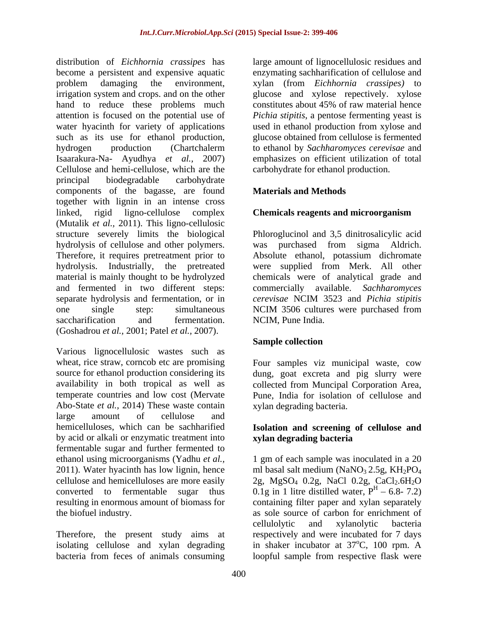distribution of *Eichhornia crassipes* has large amount of lignocellulosic residues and become a persistent and expensive aquatic enzymating sachharification of cellulose and problem damaging the environment, xylan (from *Eichhornia crassipes)* to irrigation system and crops. and on the other hand to reduce these problems much constitutes about 45% of raw material hence attention is focused on the potential use of *Pichia stipitis*, a pentose fermenting yeast is water hyacinth for variety of applications used in ethanol production from xylose and such as its use for ethanol production, hydrogen production (Chartchalerm to ethanol by *Sachharomyces cerevisae* and Isaarakura-Na- Ayudhya *et al.,* 2007) emphasizes on efficient utilization of total Cellulose and hemi-cellulose, which are the principal biodegradable carbohydrate components of the bagasse, are found together with lignin in an intense cross linked, rigid ligno-cellulose complex **Chemicals reagents and microorganism** (Mutalik *et al.,* 2011). This ligno-cellulosic structure severely limits the biological Phloroglucinol and 3,5 dinitrosalicylic acid hydrolysis of cellulose and other polymers. was purchased from sigma Aldrich. Therefore, it requires pretreatment prior to Absolute ethanol, potassium dichromate hydrolysis. Industrially, the pretreated were supplied from Merk. All other material is mainly thought to be hydrolyzed chemicals were of analytical grade and and fermented in two different steps: commercially available. *Sachharomyces*  separate hydrolysis and fermentation, or in *cerevisae* NCIM 3523 and *Pichia stipitis* one single step: simultaneous NCIM 3506 cultures were purchased from saccharification and fermentation. NCIM, Pune India. (Goshadrou *et al.,* 2001; Patel *et al.,*2007).

Various lignocellulosic wastes such as wheat, rice straw, corncob etc are promising Four samples viz municipal waste, cow source for ethanol production considering its dung, goat excreta and pig slurry were availability in both tropical as well as collected from Muncipal Corporation Area, temperate countries and low cost (Mervate Pune, India for isolation of cellulose and Abo-State *et al.,* 2014) These waste contain large amount of cellulose and hemicelluloses, which can be sachharified **Isolation and screening of cellulose and** by acid or alkali or enzymatic treatment into fermentable sugar and further fermented to 2011). Water hyacinth has low lignin, hence

Therefore, the present study aims at bacteria from feces of animals consuming loopful sample from respective flask were

glucose and xylose repectively. xylose glucose obtained from cellulose is fermented carbohydrate for ethanol production.

## **Materials and Methods**

## **Chemicals reagents and microorganism**

*cerevisae* NCIM 3523 and *Pichia stipitis* NCIM, Pune India.

## **Sample collection**

xylan degrading bacteria.

# **xylan degrading bacteria**

ethanol using microorganisms (Yadhu *et al.*, 1 gm of each sample was inoculated in a 20 cellulose and hemicelluloses are more easily  $2g$ , MgSO<sub>4</sub> 0.2g, NaCl 0.2g, CaCl<sub>2</sub>.6H<sub>2</sub>O converted to fermentable sugar thus  $0.1g$  in 1 litre-distilled-water,  $P^{H} - 6.8 - 7.2$ ) resulting in enormous amount of biomass for containing filter paper and xylan separately the biofuel industry. as sole source of carbon for enrichment of isolating cellulose and xylan degrading in shaker incubator at 37<sup>o</sup>C, 100 rpm. A ml basal salt medium (NaNO<sub>3</sub> 2.5g, KH<sub>2</sub>PO<sub>4</sub> 6.8- 7.2) cellulolytic and xylanolytic bacteria respectively and were incubated for 7 days  $^{\circ}$ C, 100 rpm. A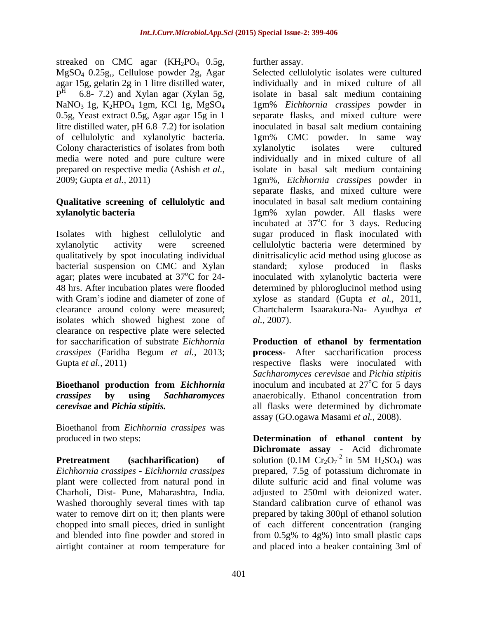streaked on CMC agar (KH<sub>2</sub>PO<sub>4</sub> 0.5g, further assay. MgSO4 0.25g,, Cellulose powder 2g, Agar Colony characteristics of isolates from both xylanolytic isolates were cultured

## **Qualitative screening of cellulolytic and**

bacterial suspension on CMC and Xylan standard; xylose produced in flasks isolates which showed highest zone of al., 2007). clearance on respective plate were selected

Bioethanol from *Eichhornia crassipes* was

plant were collected from natural pond in Charholi, Dist- Pune, Maharashtra, India. Washed thoroughly several times with tap further assay.

agar 15g, gelatin 2g in 1 litre distilled water, individually and in mixed culture of all  $P<sup>H</sup> - 6.8 - 7.2$  and Xylan agar (Xylan 5g, isolate in basal salt medium containing 6.8- 7.2) and Xylan agar (Xylan 5g, isolate in basal salt medium containing NaNO<sub>3</sub> 1g, K<sub>2</sub>HPO<sub>4</sub> 1gm, KCl 1g, MgSO<sub>4</sub> 1gm% *Eichhornia crassipes* powder in 0.5g, Yeast extract 0.5g, Agar agar 15g in 1 separate flasks, and mixed culture were litre distilled water, pH 6.8 7.2) for isolation inoculated in basal salt medium containing of cellulolytic and xylanolytic bacteria. 1gm% CMC powder. In same way media were noted and pure culture were individually and in mixed culture of all prepared on respective media (Ashish *et al.,* isolate in basal salt medium containing 2009; Gupta *et al.,* 2011) 1gm%, *Eichhornia crassipes* powder in **xylanolytic bacteria** 1gm% xylan powder. All flasks were Isolates with highest cellulolytic and sugar produced in flask inoculated with xylanolytic activity were screened cellulolytic bacteria were determined by qualitatively by spot inoculating individual dinitrisalicylic acid method using glucose as agar; plates were incubated at 37°C for 24- inoculated with xylanolytic bacteria were 48 hrs. After incubation plates were flooded determined by phloroglucinol method using with Gram's iodine and diameter of zone of xylose as standard (Gupta *et al.,* 2011, clearance around colony were measured; Chartchalerm Isaarakura-Na- Ayudhya *et*  Selected cellulolytic isolates were cultured individually and in mixed culture of all xylanolytic isolates were cultured separate flasks, and mixed culture were inoculated in basal salt medium containing incubated at 37°C for 3 days. Reducing oC for 3 days. Reducing standard; xylose produced in flasks *al.,* 2007).

for saccharification of substrate *Eichhornia*  **Production of ethanol by fermentation** *crassipes* (Faridha Begum *et al.,* 2013; **process-** After saccharification process Gupta *et al.*, 2011) **respective flasks** were inoculated with **Bioethanol production from** *Eichhornia* inoculum and incubated at 27<sup>o</sup>C for 5 days *crassipes* **by using** *Sachharomyces*  anaerobically. Ethanol concentration from *cerevisae* **and** *Pichia stipitis.* all flasks were determined by dichromate *Sachharomyces cerevisae* and *Pichia stipitis* <sup>o</sup>C for 5 days assay (GO.ogawa Masami *et al.,* 2008).

produced in two steps: **Determination of ethanol content by Pretreatment** (sachharification) of solution  $(0.1M \text{ Cr}_2\text{O}_7^{-2})$  in 5M  $H_2SO_4$ ) was *Eichhornia crassipes* **-** *Eichhornia crassipes* prepared, 7.5g of potassium dichromate in water to remove dirt on it; then plants were prepared by taking 300 $\mu$ l of ethanol solution chopped into small pieces, dried in sunlight of each different concentration (ranging and blended into fine powder and stored in from 0.5g% to 4g%) into small plastic caps airtight container at room temperature for and placed into a beaker containing 3ml of**Dichromate assay -** Acid dichromate solution (0.1M  $Cr_2O_7^{-2}$  in 5M  $H_2SO_4$ ) was in 5M  $H_2SO_4$ ) was dilute sulfuric acid and final volume was adjusted to 250ml with deionized water. Standard calibration curve of ethanol was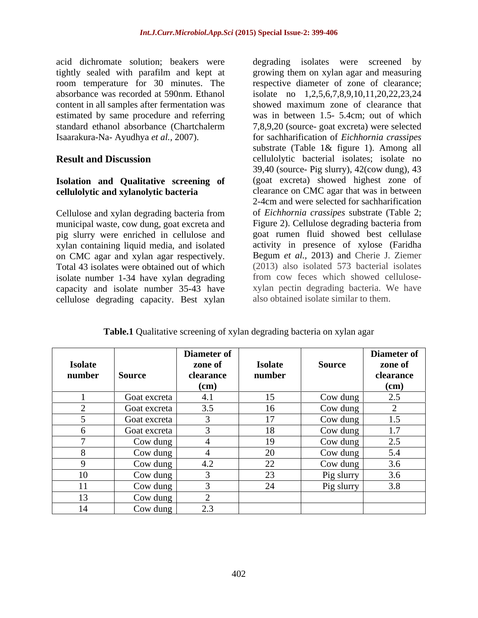acid dichromate solution; beakers were content in all samples after fermentation was showed maximum zone of clearance that estimated by same procedure and referring

## **Isolation and Qualitative screening of cellulolytic and xylanolytic bacteria**

Cellulose and xylan degrading bacteria from municipal waste, cow dung, goat excreta and pig slurry were enriched in cellulose and xylan containing liquid media, and isolated on CMC agar and xylan agar respectively. Total 43 isolates were obtained out of which isolate number 1-34 have xylan degrading capacity and isolate number 35-43 have cellulose degrading capacity. Best xylan

tightly sealed with parafilm and kept at growing them on xylan agar and measuring room temperature for 30 minutes. The respective diameter of zone of clearance; absorbance was recorded at 590nm. Ethanol isolate no 1,2,5,6,7,8,9,10,11,20,22,23,24 standard ethanol absorbance (Chartchalerm 7,8,9,20 (source- goat excreta) were selected Isaarakura-Na- Ayudhya *et al.,* 2007). for sachharification of *Eichhornia crassipes* **Result and Discussion Cellulolytic bacterial isolates**; isolate no degrading isolates were screened by showed maximum zone of clearance that was in between 1.5- 5.4cm; out of which substrate (Table 1& figure 1). Among all 39,40 (source- Pig slurry), 42(cow dung), 43 (goat excreta) showed highest zone of clearance on CMC agar that was in between 2-4cm and were selected for sachharification of *Eichhornia crassipes* substrate (Table 2; Figure 2). Cellulose degrading bacteria from goat rumen fluid showed best cellulase activity in presence of xylose (Faridha Begum *et al.,* 2013) and Cherie J. Ziemer (2013) also isolated 573 bacterial isolates from cow feces which showed cellulose xylan pectin degrading bacteria. We have also obtained isolate similar to them.

**Table.1** Qualitative screening of xylan degrading bacteria on xylan agar

|                |              | Diameter of |                |               | Diameter of           |
|----------------|--------------|-------------|----------------|---------------|-----------------------|
| <b>Isolate</b> |              | zone of     | <b>Isolate</b> | <b>Source</b> | zone of               |
| number         | Source       | clearance   | number         |               | clearance             |
|                |              | $(cm)$      |                |               | $(cm)$                |
|                | Goat excreta | 4.1         | 15             | Cow dung      | 2.5                   |
|                | Goat excreta | 3.5         | 16             | Cow dung      |                       |
|                | Goat excreta | $\sim$      | 17             | Cow dung      | 1.5                   |
|                | Goat excreta |             | 18             | Cow dung      | 1 <sub>7</sub><br>1.1 |
|                | Cow dung     |             | 19             | Cow dung      | 2.5                   |
|                | Cow dung     |             | 20             | Cow dung      | 5.4                   |
|                | Cow dung     | 4.2         | 22             | Cow dung      | 3.6                   |
| 1 <sub>0</sub> | Cow dung     |             | 23             | Pig slurry    | 3.6                   |
| 11.<br>11      | Cow dung     |             | 24             | Pig slurry    | 3.8                   |
| 13             | Cow dung     |             |                |               |                       |
| 14             | Cow dung     | 2.3         |                |               |                       |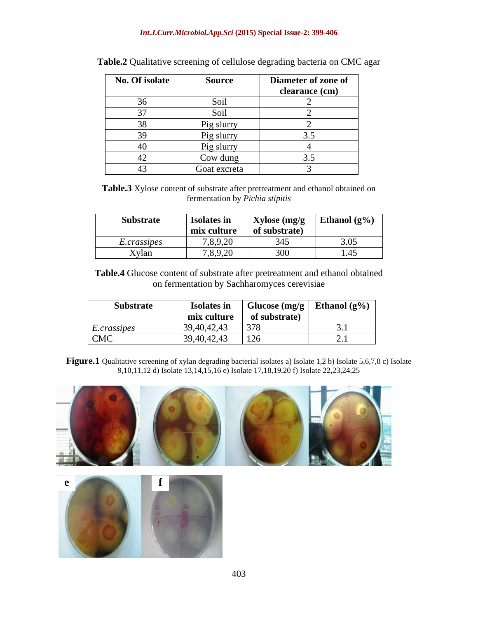### *Int.J.Curr.Microbiol.App.Sci* **(2015) Special Issue-2: 399-406**

| No. Of isolate            | Source       | Diameter of zone of |
|---------------------------|--------------|---------------------|
|                           |              | clearance (cm)      |
| $\Omega$<br>$\sim$ $\sim$ | Soil         |                     |
| $\sim$                    | Soil         |                     |
| $\Omega$                  | Pig slurry   |                     |
| 20<br>ັ                   | Pig slurry   | $\cup \cdot \cup$   |
| -40                       | Pig slurry   |                     |
| 42                        | Cow dung     | ັ∙~                 |
| 41.                       | Goat excreta |                     |

| <b>Table.2</b> Qualitative screening of c | . cellulose | a on CMC agar<br>se degrading bacteria |  |
|-------------------------------------------|-------------|----------------------------------------|--|
|                                           |             |                                        |  |

**Table.3** Xylose content of substrate after pretreatment and ethanol obtained on fermentation by *Pichia stipitis*

| <b>Substrate</b>   | <b>Isolates in</b>                                              | Xylose (mg/g                                                      | Ethanol $(g\%)$                                      |
|--------------------|-----------------------------------------------------------------|-------------------------------------------------------------------|------------------------------------------------------|
|                    | and the state of the state of the state of the<br>  mix culture | <b>Contract Contract Avenue</b><br>$\sim$ $\sim$<br>of substrate) |                                                      |
| <i>E.crassipes</i> | 7,8,9,20                                                        | $\sim$ $\sim$                                                     | 3.05                                                 |
| --<br>Xylan        | 7,8,9,20                                                        | 300<br>ovv                                                        | $\Delta$<br>$\blacksquare \blacksquare \blacksquare$ |

**Table.4** Glucose content of substrate after pretreatment and ethanol obtained on fermentation by Sachharomyces cerevisiae

| <b>Substrate</b>                               | <b>Isolates in</b> | Glucose $(mg/g \mid Ethanol (g%)$ |       |
|------------------------------------------------|--------------------|-----------------------------------|-------|
|                                                | mix culture        | of substrate)                     |       |
| $\overline{\phantom{a}}$<br><i>E.crassipes</i> | 39,40,42,43        | 378                               | - - - |
| <b>CMC</b>                                     | 39,40,42,43        | 10<<br>$\frac{1}{2}$              | ---   |

Figure.1 Qualitative screening of xylan degrading bacterial isolates a) Isolate 1,2 b) Isolate 5,6,7,8 c) Isolate 9,10,11,12 d) Isolate 13,14,15,16 e) Isolate 17,18,19,20 f) Isolate 22,23,24,25

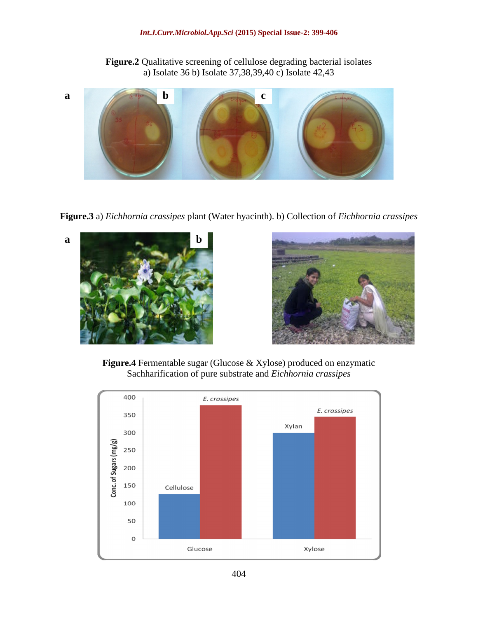**Figure.2** Qualitative screening of cellulose degrading bacterial isolates a) Isolate 36 b) Isolate 37,38,39,40 c) Isolate 42,43



**Figure.3** a) *Eichhornia crassipes* plant (Water hyacinth). b) Collection of *Eichhornia crassipes*





**Figure.4** Fermentable sugar (Glucose & Xylose) produced on enzymatic Sachharification of pure substrate and *Eichhornia crassipes*

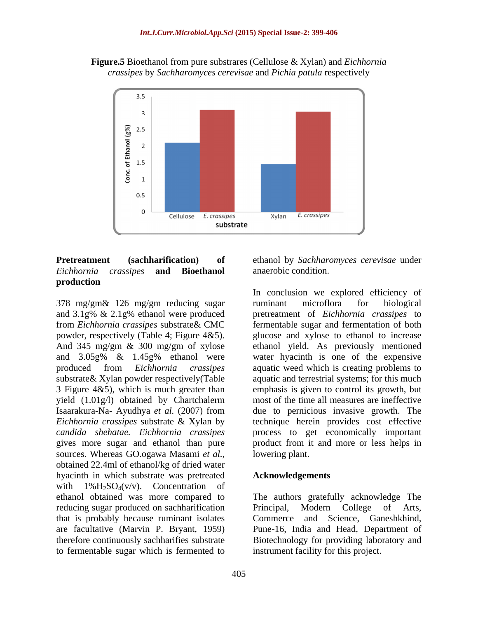



## *Eichhornia crassipes* **and Bioethanol production**

378 mg/gm& 126 mg/gm reducing sugar and 3.1g% & 2.1g% ethanol were produced 3 Figure 4&5), which is much greater than yield (1.01g/l) obtained by Chartchalerm *Eichhornia crassipes* substrate & Xylan by sources. Whereas GO.ogawa Masami *et al.,* obtained 22.4ml of ethanol/kg of dried water hyacinth in which substrate was pretreated with  $1\%$ H<sub>2</sub>SO<sub>4</sub>(v/v). Concentration of ethanol obtained was more compared to reducing sugar produced on sachharification Principal, Modern College of Arts, that is probably because ruminant isolates are facultative (Marvin P. Bryant, 1959) Pune-16, India and Head, Department of therefore continuously sachharifies substrate Biotechnology for providing laboratory and to fermentable sugar which is fermented to

**Pretreatment (sachharification) of** ethanol by *Sachharomyces cerevisae* under anaerobic condition.

from *Eichhornia crassipes* substrate& CMC fermentable sugar and fermentation of both powder, respectively (Table 4; Figure 4&5). glucose and xylose to ethanol to increase And 345 mg/gm & 300 mg/gm of xylose ethanol yield. As previously mentioned and 3.05g% & 1.45g% ethanol were produced from *Eichhornia crassipes* aquatic weed which is creating problems to substrate& Xylan powder respectively(Table aquatic and terrestrial systems; for this much Isaarakura-Na- Ayudhya *et al.* (2007) from due to pernicious invasive growth. The *candida shehatae. Eichhornia crassipes* process to get economically important gives more sugar and ethanol than pure product from it and more or less helps in In conclusion we explored efficiency of ruminant microflora for biological pretreatment of *Eichhornia crassipes* to water hyacinth is one of the expensive emphasis is given to control its growth, but most of the time all measures are ineffective technique herein provides cost effective lowering plant.

## **Acknowledgements**

The authors gratefully acknowledge The Principal, Modern College of Arts, Commerce and Science, Ganeshkhind, instrument facility for this project.